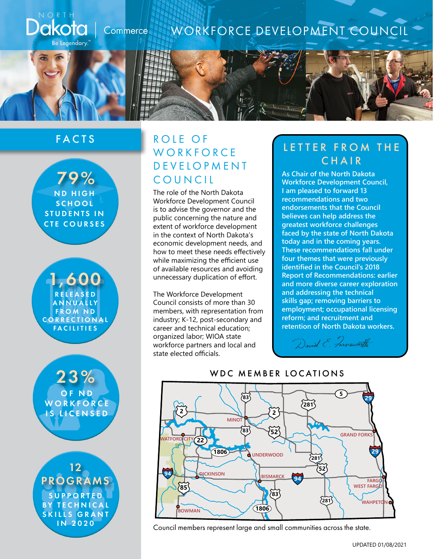### Dakota | Commerce WORKFORCE DEVELOPMENT COUNCIL



## FACTS

iendarv

79% **ND HIGH SCHOOL** STUDENTS IN CTE COURSES

1,600 **RELEASED ANNUALLY** FROM ND **CORRECTIONAL** FACILITIES

23% OF ND **WORKFORCE** IS LICENSED

SUPPORTED BY TECHNICAL SKILLS GRANT IN 2020 12

# ROLE OF W O R K F O R C F D E V E LO P M E N T COUNCIL

The role of the North Dakota Workforce Development Council is to advise the governor and the public concerning the nature and extent of workforce development in the context of North Dakota's economic development needs, and how to meet these needs effectively while maximizing the efficient use of available resources and avoiding unnecessary duplication of effort.

The Workforce Development Council consists of more than 30 members, with representation from industry; K-12, post-secondary and career and technical education; organized labor; WIOA state workforce partners and local and state elected officials.

## LETTER FROM THE CHAIR

**As Chair of the North Dakota Workforce Development Council, I am pleased to forward 13 recommendations and two endorsements that the Council believes can help address the greatest workforce challenges faced by the state of North Dakota today and in the coming years. These recommendations fall under four themes that were previously identified in the Council's 2018 Report of Recommendations: earlier and more diverse career exploration and addressing the technical skills gap; removing barriers to employment; occupational licensing reform; and recruitment and retention of North Dakota workers.**



### WDC MEMBER LOCATIONS



Council members represent large and small communities across the state.